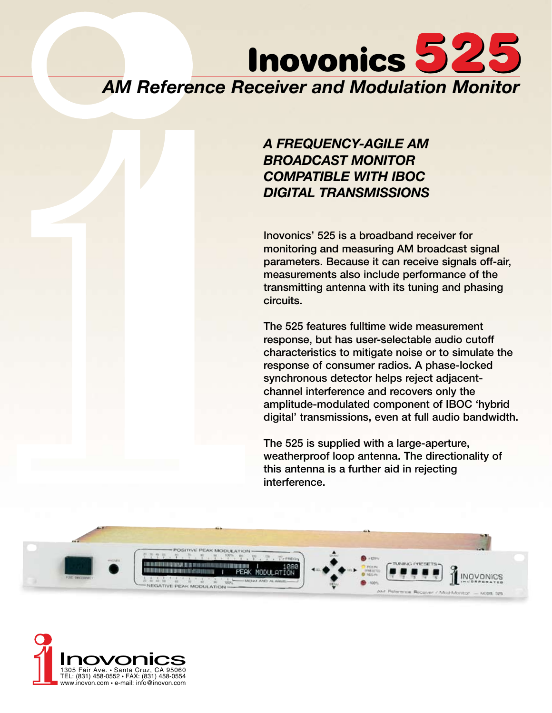# *AM Reference Receiver and Modulation Monitor* Inovonics 525

### *A FREQUENCY-AGILE AM BROADCAST MONITOR COMPATIBLE WITH IBOC DIGITAL TRANSMISSIONS*

Inovonics' 525 is a broadband receiver for monitoring and measuring AM broadcast signal parameters. Because it can receive signals off-air, measurements also include performance of the transmitting antenna with its tuning and phasing circuits.

The 525 features fulltime wide measurement response, but has user-selectable audio cutoff characteristics to mitigate noise or to simulate the response of consumer radios. A phase-locked synchronous detector helps reject adjacentchannel interference and recovers only the amplitude-modulated component of IBOC 'hybrid digital' transmissions, even at full audio bandwidth.

The 525 is supplied with a large-aperture, weatherproof loop antenna. The directionality of this antenna is a further aid in rejecting interference.